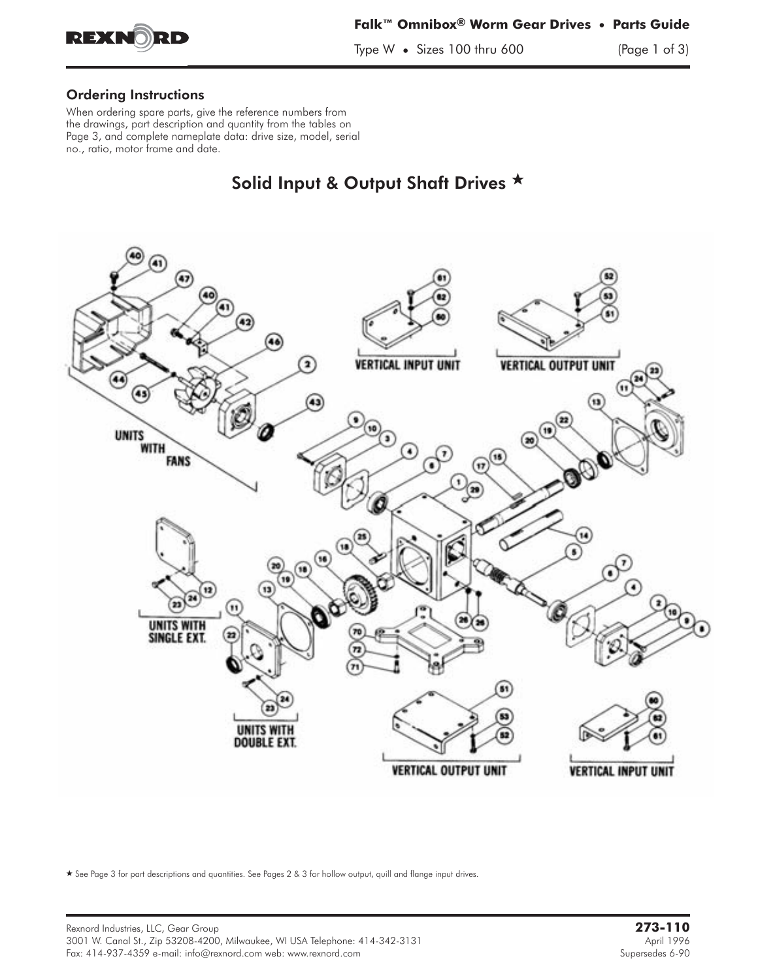

## Ordering Instructions

When ordering spare parts, give the reference numbers from the drawings, part description and quantity from the tables on Page 3, and complete nameplate data: drive size, model, serial no., ratio, motor frame and date.

# Solid Input & Output Shaft Drives  $\star$



- See Page 3 for part descriptions and quantities. See Pages 2 & 3 for hollow output, quill and flange input drives.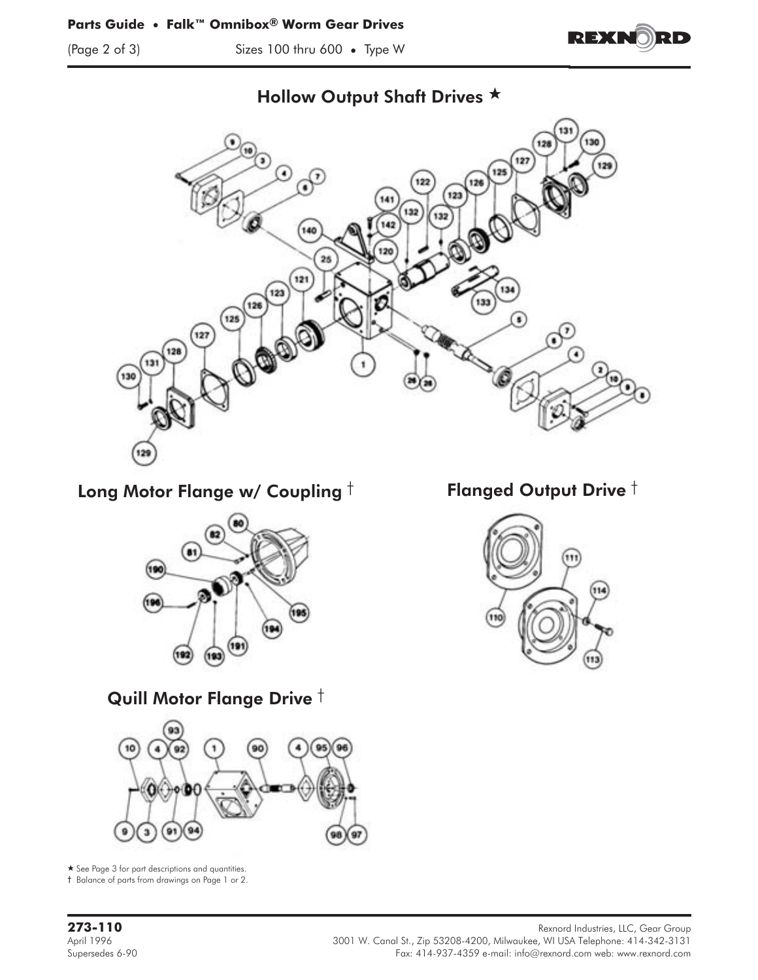(Page 2 of 3) Sizes 100 thru 600 **•** Type W





## Hollow Output Shaft Drives \*

Long Motor Flange w/ Coupling  $\dagger$  Flanged Output Drive  $\dagger$ 



Quill Motor Flange Drive †



\* See Page 3 for part descriptions and quantities.

† Balance of parts from drawings on Page 1 or 2.